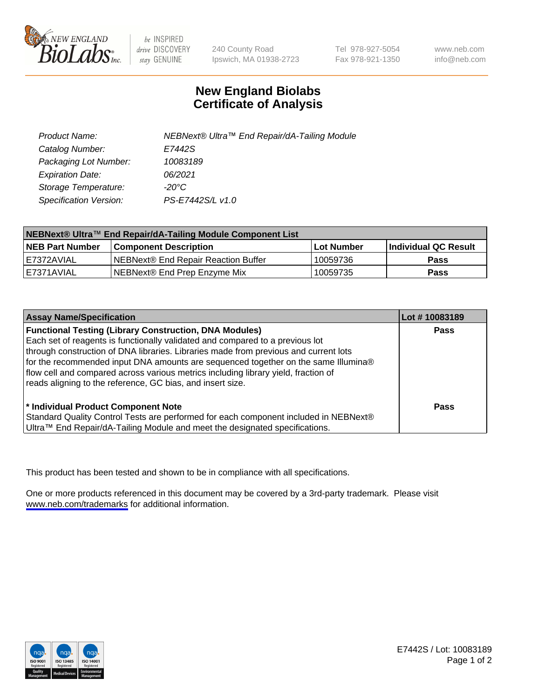

be INSPIRED drive DISCOVERY stay GENUINE

240 County Road Ipswich, MA 01938-2723 Tel 978-927-5054 Fax 978-921-1350

www.neb.com info@neb.com

## **New England Biolabs Certificate of Analysis**

| Product Name:           | NEBNext® Ultra™ End Repair/dA-Tailing Module |
|-------------------------|----------------------------------------------|
| Catalog Number:         | E7442S                                       |
| Packaging Lot Number:   | 10083189                                     |
| <b>Expiration Date:</b> | 06/2021                                      |
| Storage Temperature:    | -20°C                                        |
| Specification Version:  | PS-E7442S/L v1.0                             |

| NEBNext® Ultra™ End Repair/dA-Tailing Module Component List |                                      |                   |                      |  |
|-------------------------------------------------------------|--------------------------------------|-------------------|----------------------|--|
| <b>NEB Part Number</b>                                      | <b>Component Description</b>         | <b>Lot Number</b> | Individual QC Result |  |
| I E7372AVIAL                                                | INEBNext® End Repair Reaction Buffer | 10059736          | <b>Pass</b>          |  |
| I E7371AVIAL                                                | NEBNext® End Prep Enzyme Mix         | 10059735          | <b>Pass</b>          |  |

| <b>Assay Name/Specification</b>                                                                                                                                                                                                                                                                                                                                                                                                                                                  | Lot #10083189 |
|----------------------------------------------------------------------------------------------------------------------------------------------------------------------------------------------------------------------------------------------------------------------------------------------------------------------------------------------------------------------------------------------------------------------------------------------------------------------------------|---------------|
| <b>Functional Testing (Library Construction, DNA Modules)</b><br>Each set of reagents is functionally validated and compared to a previous lot<br>through construction of DNA libraries. Libraries made from previous and current lots<br>for the recommended input DNA amounts are sequenced together on the same Illumina®<br>flow cell and compared across various metrics including library yield, fraction of<br>reads aligning to the reference, GC bias, and insert size. | <b>Pass</b>   |
| * Individual Product Component Note<br>Standard Quality Control Tests are performed for each component included in NEBNext®<br>Ultra™ End Repair/dA-Tailing Module and meet the designated specifications.                                                                                                                                                                                                                                                                       | Pass          |

This product has been tested and shown to be in compliance with all specifications.

One or more products referenced in this document may be covered by a 3rd-party trademark. Please visit <www.neb.com/trademarks>for additional information.